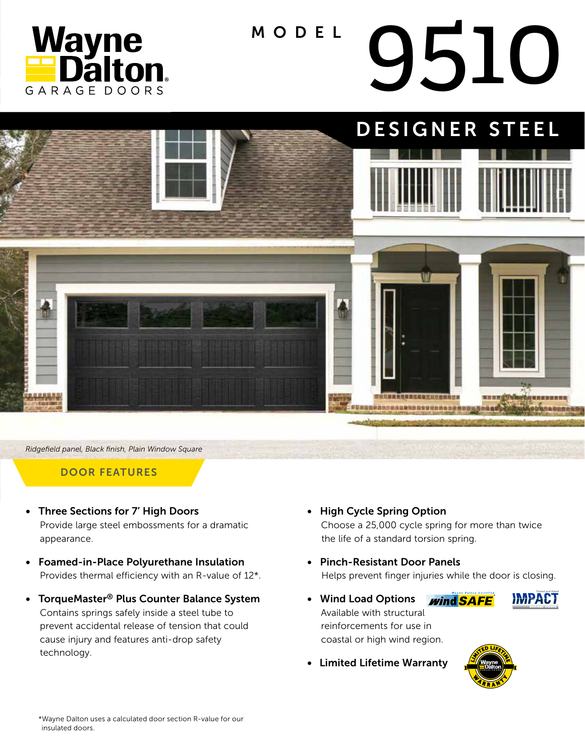

# MODEL 9510



*Ridgefield panel, Black finish, Plain Window Square*

#### DOOR FEATURES

- Three Sections for 7' High Doors Provide large steel embossments for a dramatic appearance.
- Foamed-in-Place Polyurethane Insulation Provides thermal efficiency with an R-value of 12\*.
- TorqueMaster® Plus Counter Balance System Contains springs safely inside a steel tube to prevent accidental release of tension that could cause injury and features anti-drop safety technology.
- High Cycle Spring Option Choose a 25,000 cycle spring for more than twice the life of a standard torsion spring.
- Pinch-Resistant Door Panels Helps prevent finger injuries while the door is closing.
- Wind Load Options **wind SAFE**  Available with structural reinforcements for use in coastal or high wind region.



• Limited Lifetime Warranty

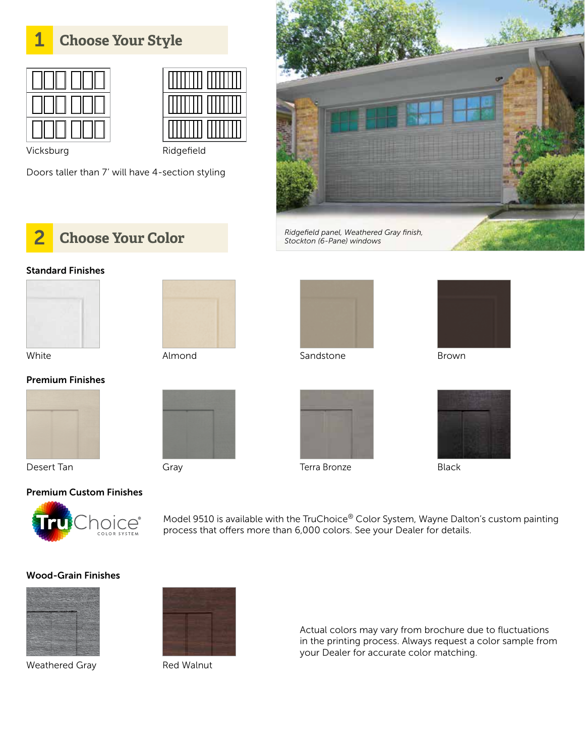### 1 **Choose Your Style**





Vicksburg Ridgefield

Doors taller than 7' will have 4-section styling





#### Standard Finishes







White Almond Sandstone Brown



Premium Finishes



Desert Tan Terra Bronze Black





Model 9510 is available with the TruChoice® Color System, Wayne Dalton's custom painting process that offers more than 6,000 colors. See your Dealer for details.

#### Wood-Grain Finishes



Weathered Gray Red Walnut



Actual colors may vary from brochure due to fluctuations in the printing process. Always request a color sample from your Dealer for accurate color matching.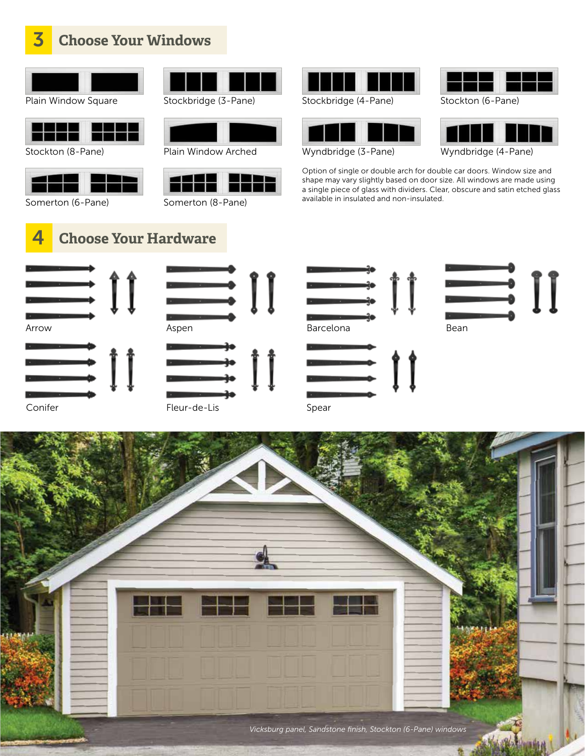|  |  |  | <b>3</b> Choose Your Windows |
|--|--|--|------------------------------|
|--|--|--|------------------------------|

| Plain Window Square | Stockbridge (3-Pane) |
|---------------------|----------------------|



|  | ٠ | × |
|--|---|---|

Stockton (8-Pane)



Somerton (6-Pane)





Plain Window Arched Wyndbridge (3-Pane)



Somerton (8-Pane)



Stockbridge (4-Pane)





Stockton (6-Pane)



Wyndbridge (4-Pane)

Option of single or double arch for double car doors. Window size and shape may vary slightly based on door size. All windows are made using a single piece of glass with dividers. Clear, obscure and satin etched glass available in insulated and non-insulated.